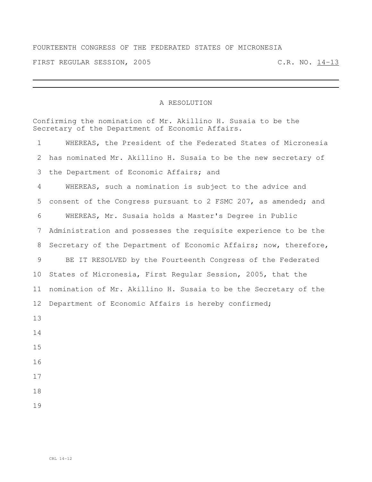## FOURTEENTH CONGRESS OF THE FEDERATED STATES OF MICRONESIA

FIRST REGULAR SESSION, 2005 C.R. NO. 14-13

## A RESOLUTION

| Confirming the nomination of Mr. Akillino H. Susaia to be the<br>Secretary of the Department of Economic Affairs. |                                                                  |  |
|-------------------------------------------------------------------------------------------------------------------|------------------------------------------------------------------|--|
| $\mathbf 1$                                                                                                       | WHEREAS, the President of the Federated States of Micronesia     |  |
| $\mathbf{2}$                                                                                                      | has nominated Mr. Akillino H. Susaia to be the new secretary of  |  |
| 3                                                                                                                 | the Department of Economic Affairs; and                          |  |
| $\overline{4}$                                                                                                    | WHEREAS, such a nomination is subject to the advice and          |  |
| 5                                                                                                                 | consent of the Congress pursuant to 2 FSMC 207, as amended; and  |  |
| 6                                                                                                                 | WHEREAS, Mr. Susaia holds a Master's Degree in Public            |  |
| 7                                                                                                                 | Administration and possesses the requisite experience to be the  |  |
| 8                                                                                                                 | Secretary of the Department of Economic Affairs; now, therefore, |  |
| 9                                                                                                                 | BE IT RESOLVED by the Fourteenth Congress of the Federated       |  |
| 10                                                                                                                | States of Micronesia, First Regular Session, 2005, that the      |  |
| 11                                                                                                                | nomination of Mr. Akillino H. Susaia to be the Secretary of the  |  |
| 12                                                                                                                | Department of Economic Affairs is hereby confirmed;              |  |
| 13                                                                                                                |                                                                  |  |
| 14                                                                                                                |                                                                  |  |
| 15                                                                                                                |                                                                  |  |
| 16                                                                                                                |                                                                  |  |
| 17                                                                                                                |                                                                  |  |
| 18                                                                                                                |                                                                  |  |
| 19                                                                                                                |                                                                  |  |